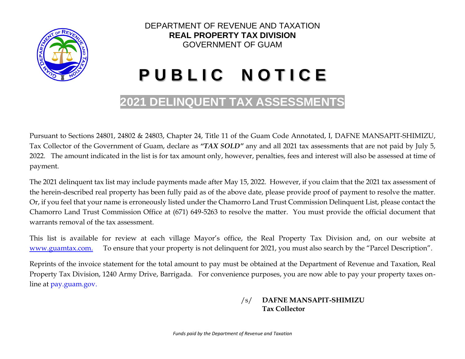

# DEPARTMENT OF REVENUE AND TAXATION **REAL PROPERTY TAX DIVISION** GOVERNMENT OF GUAM

# **P U B L I C N O T I C E**

# **2021 DELINQUENT TAX ASSESSMENTS**

Pursuant to Sections 24801, 24802 & 24803, Chapter 24, Title 11 of the Guam Code Annotated, I, DAFNE MANSAPIT-SHIMIZU, Tax Collector of the Government of Guam, declare as *"TAX SOLD"* any and all 2021 tax assessments that are not paid by July 5, 2022. The amount indicated in the list is for tax amount only, however, penalties, fees and interest will also be assessed at time of payment.

The 2021 delinquent tax list may include payments made after May 15, 2022. However, if you claim that the 2021 tax assessment of the herein-described real property has been fully paid as of the above date, please provide proof of payment to resolve the matter. Or, if you feel that your name is erroneously listed under the Chamorro Land Trust Commission Delinquent List, please contact the Chamorro Land Trust Commission Office at (671) 649-5263 to resolve the matter. You must provide the official document that warrants removal of the tax assessment.

This list is available for review at each village Mayor's office, the Real Property Tax Division and, on our website at [www.guamtax.com.](http://www.guamtax.com/) To ensure that your property is not delinquent for 2021, you must also search by the "Parcel Description".

Reprints of the invoice statement for the total amount to pay must be obtained at the Department of Revenue and Taxation, Real Property Tax Division, 1240 Army Drive, Barrigada. For convenience purposes, you are now able to pay your property taxes online at pay.guam.gov.

#### /s/ **DAFNE MANSAPIT-SHIMIZU Tax Collector**